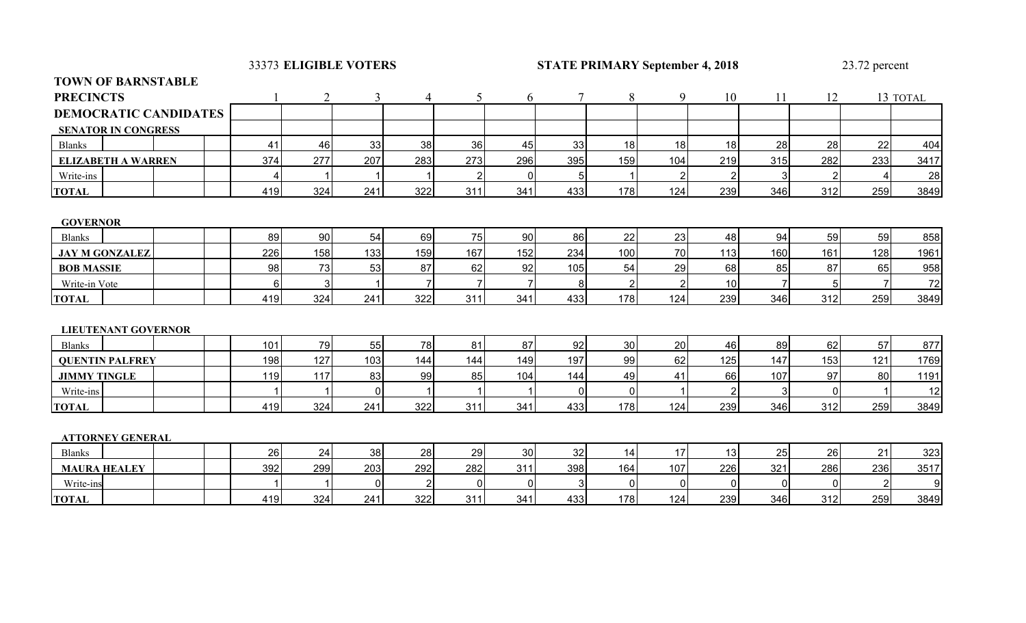33373 ELIGIBLE VOTERS

# **EXIGIBLE PRIMARY September 4, 2018** 23.72 percent

| <b>TOWN OF BARNSTABLE</b>    |            |                                  |                |                |                |                |                |                |                |              |                |                |          |
|------------------------------|------------|----------------------------------|----------------|----------------|----------------|----------------|----------------|----------------|----------------|--------------|----------------|----------------|----------|
| <b>PRECINCTS</b>             |            | $\overline{2}$<br>$\overline{3}$ | $\overline{4}$ | 5              | 6              | $\tau$         | 8              | 9              | 10             | 11           | 12             |                | 13 TOTAL |
| <b>DEMOCRATIC CANDIDATES</b> |            |                                  |                |                |                |                |                |                |                |              |                |                |          |
| <b>SENATOR IN CONGRESS</b>   |            |                                  |                |                |                |                |                |                |                |              |                |                |          |
| <b>Blanks</b>                | 41         | 33<br>46                         | 38             | 36             | 45             | 33             | 18             | 18             | 18             | 28           | 28             | 22             | 404      |
| <b>ELIZABETH A WARREN</b>    | 277<br>374 | 207                              | 283            | 273            | 296            | 395            | 159            | 104            | 219            | 315          | 282            | 233            | 3417     |
| Write-ins                    | 4          |                                  |                | $\overline{2}$ | 0              | 5 <sub>5</sub> |                | $\overline{2}$ | $\overline{2}$ | 3            | $\overline{2}$ | 4              | 28       |
| <b>TOTAL</b>                 | 419        | 324<br>241                       | 322            | 311            | 341            | 433            | 178            | 124            | 239            | 346          | 312            | 259            | 3849     |
|                              |            |                                  |                |                |                |                |                |                |                |              |                |                |          |
| <b>GOVERNOR</b>              |            |                                  |                |                |                |                |                |                |                |              |                |                |          |
| <b>Blanks</b>                | 89         | 90<br>54                         | 69             | 75             | 90             | 86             | 22             | 23             | 48             | 94           | 59             | 59             | 858      |
| <b>JAY M GONZALEZ</b>        | 226        | 158<br>133                       | 159            | 167            | 152            | 234            | 100            | 70             | 113            | 160          | 161            | 128            | 1961     |
| <b>BOB MASSIE</b>            | 98         | 73<br>53                         | 87             | 62             | 92             | 105            | 54             | 29             | 68             | 85           | 87             | 65             | 958      |
| Write-in Vote                | $6 \mid$   | 3                                | 7              |                | $\overline{7}$ | 8              | $\overline{2}$ | $\overline{2}$ | 10             |              | 5              |                | 72       |
| <b>TOTAL</b>                 | 419        | 324<br>241                       | 322            | 311            | 341            | 433            | 178            | 124            | 239            | 346          | 312            | 259            | 3849     |
|                              |            |                                  |                |                |                |                |                |                |                |              |                |                |          |
| <b>LIEUTENANT GOVERNOR</b>   |            |                                  |                |                |                |                |                |                |                |              |                |                |          |
| <b>Blanks</b>                | 101        | 79<br>55                         | 78             | 81             | 87             | 92             | 30             | 20             | 46             | 89           | 62             | 57             | 877      |
| <b>QUENTIN PALFREY</b>       | 127<br>198 | 103                              | 144            | 144            | 149            | 197            | 99             | 62             | 125            | 147          | 153            | 121            | 1769     |
| <b>JIMMY TINGLE</b>          | 117<br>119 | 83                               | 99             | 85             | 104            | 144            | 49             | 41             | 66             | 107          | 97             | 80             | 1191     |
| Write-ins                    |            | $\overline{0}$                   |                |                |                | $\overline{0}$ | $\mathbf 0$    |                | $\overline{2}$ | $\mathbf{3}$ | $\Omega$       |                | 12       |
| <b>TOTAL</b>                 | 419        | 324<br>241                       | 322            | 311            | 341            | 433            | 178            | 124            | 239            | 346          | 312            | 259            | 3849     |
|                              |            |                                  |                |                |                |                |                |                |                |              |                |                |          |
| <b>ATTORNEY GENERAL</b>      |            |                                  |                |                |                |                |                |                |                |              |                |                |          |
| <b>Blanks</b>                | 26         | 38<br>24                         | 28             | 29             | 30             | 32             | 14             | 17             | 13             | 25           | 26             | 21             | 323      |
| <b>MAURA HEALEY</b>          | 392        | 299<br>203                       | 292            | 282            | 311            | 398            | 164            | 107            | 226            | 321          | 286            | 236            | 3517     |
| Write-ins                    |            | $\overline{0}$                   | $\overline{2}$ | $\Omega$       | $\mathbf 0$    | $\overline{3}$ | $\mathbf 0$    | $\mathbf 0$    | $\mathbf 0$    | $\mathbf{0}$ | $\mathbf{0}$   | $\overline{2}$ | 9        |
| <b>TOTAL</b>                 | 419        | 324<br>241                       | 322            | 311            | 341            | 433            | 178            | 124            | 239            | 346          | 312            | 259            | 3849     |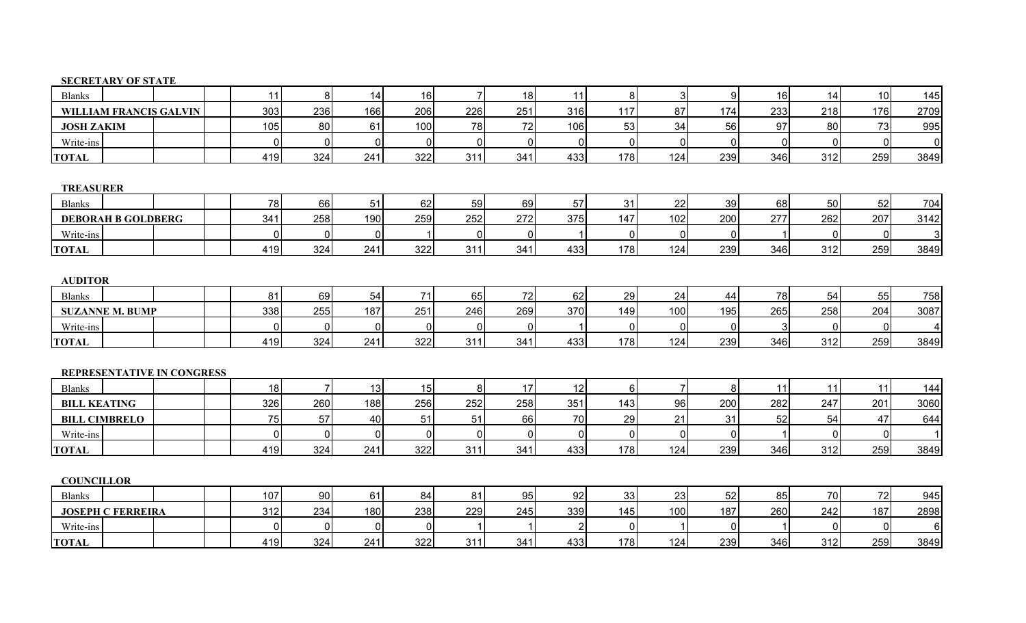## **SECRETARY OF STATE**

| <b>Blanks</b>                 | 11       | 8 <sup>1</sup> | 14             | 16               |          | 18          | 11          | 8           | $\overline{3}$ | 9            | 16           | 14          | 10 <sup>1</sup> | 145          |
|-------------------------------|----------|----------------|----------------|------------------|----------|-------------|-------------|-------------|----------------|--------------|--------------|-------------|-----------------|--------------|
| <b>WILLIAM FRANCIS GALVIN</b> | 303      | 236            | 166            | 206              | 226      | 251         | 316         | 117         | 87             | 174          | 233          | 218         | 176             | 2709         |
| <b>JOSH ZAKIM</b>             | 105      | 80             | 61             | 100              | 78       | 72          | 106         | 53          | 34             | 56           | 97           | 80          | 73              | 995          |
| Write-ins                     | ∩        | $\mathbf 0$    | $\Omega$       | $\mathbf 0$      | $\Omega$ | $\mathbf 0$ | 0           | $\mathbf 0$ | $\Omega$       | $\mathbf 0$  | $\mathbf{0}$ | $\mathbf 0$ | $\mathbf{0}$    | $\mathbf 0$  |
| <b>TOTAL</b>                  | 419      | 324            | 241            | 322              | 311      | 341         | 433         | 178         | 124            | 239          | 346          | 312         | 259             | 3849         |
|                               |          |                |                |                  |          |             |             |             |                |              |              |             |                 |              |
| <b>TREASURER</b>              |          |                |                |                  |          |             |             |             |                |              |              |             |                 |              |
| <b>Blanks</b>                 | 78       | 66             | 51             | 62               | 59       | 69          | 57          | 31          | 22             | 39           | 68           | 50          | 52              | 704          |
| <b>DEBORAH B GOLDBERG</b>     | 341      | 258            | 190            | 259              | 252      | 272         | 375         | 147         | 102            | 200          | 277          | 262         | 207             | 3142         |
| Write-ins                     | ∩        | $\mathbf 0$    | $\Omega$       |                  |          | $\mathbf 0$ |             | $\mathbf 0$ | 0              | $\mathbf 0$  |              | 0           | $\mathbf{0}$    | $\mathbf{3}$ |
| <b>TOTAL</b>                  | 419      | 324            | 241            | 322              | 311      | 341         | 433         | 178         | 124            | 239          | 346          | 312         | 259             | 3849         |
|                               |          |                |                |                  |          |             |             |             |                |              |              |             |                 |              |
| <b>AUDITOR</b>                |          |                |                |                  |          |             |             |             |                |              |              |             |                 |              |
| <b>Blanks</b>                 | 81       | 69             | 54             | 71               | 65       | 72          | 62          | 29          | 24             | 44           | 78           | 54          | 55              | 758          |
| <b>SUZANNE M. BUMP</b>        | 338      | 255            | 187            | 251              | 246      | 269         | 370         | 149         | 100            | 195          | 265          | 258         | 204             | 3087         |
| Write-ins                     | U        | $\mathbf 0$    | $\overline{0}$ | $\mathbf 0$      | $\Omega$ | $\mathbf 0$ |             | $\pmb{0}$   | $\Omega$       | $\mathbf{0}$ | 3            | $\mathbf 0$ | $\Omega$        |              |
| <b>TOTAL</b>                  | 419      | 324            | 241            | 322              | 311      | 341         | 433         | 178         | 124            | 239          | 346          | 312         | 259             | 3849         |
|                               |          |                |                |                  |          |             |             |             |                |              |              |             |                 |              |
| REPRESENTATIVE IN CONGRESS    |          |                |                |                  |          |             |             |             |                |              |              |             |                 |              |
| <b>Blanks</b>                 | 18       | $\overline{7}$ | 13             | 15               | 8        | 17          | 12          | 6           | $\overline{7}$ | $\bf 8$      | 11           | 11          | 11              | 144          |
| <b>BILL KEATING</b>           | 326      | 260            | 188            | 256              | 252      | 258         | 351         | 143         | 96             | 200          | 282          | 247         | 201             | 3060         |
| <b>BILL CIMBRELO</b>          | 75       | 57             | 40             | 51               | 51       | 66          | 70          | 29          | 21             | 31           | 52           | 54          | 47              | 644          |
| Write-ins                     | $\Omega$ | $\pmb{0}$      | $\mathbf 0$    | $\mathbf 0$      | $\Omega$ | $\mathbf 0$ | $\mathbf 0$ | $\pmb{0}$   | 0              | $\mathbf 0$  |              | $\pmb{0}$   | $\mathbf 0$     |              |
| <b>TOTAL</b>                  | 419      | 324            | 241            | 322              | 311      | 341         | 433         | 178         | 124            | 239          | 346          | 312         | 259             | 3849         |
|                               |          |                |                |                  |          |             |             |             |                |              |              |             |                 |              |
| <b>COUNCILLOR</b>             |          |                |                |                  |          |             |             |             |                |              |              |             |                 |              |
| <b>Blanks</b>                 | 107      | 90             | 61             | 84               | 81       | 95          | 92          | 33          | 23             | 52           | 85           | 70          | 72              | 945          |
| <b>JOSEPH C FERREIRA</b>      | 312      | 234            | 180            | 238              | 229      | 245         | 339         | 145         | 100            | 187          | 260          | 242         | 187             | 2898         |
| Write-ins                     |          | $\mathbf{0}$   | $\mathbf{0}$   | $\boldsymbol{0}$ |          |             |             | $\mathbf 0$ |                | 0            |              | 0           | $\mathbf{0}$    | 6            |
| <b>TOTAL</b>                  | 419      | 324            | 241            | 322              | 311      | 341         | 433         | 178         | 124            | 239          | 346          | 312         | 259             | 3849         |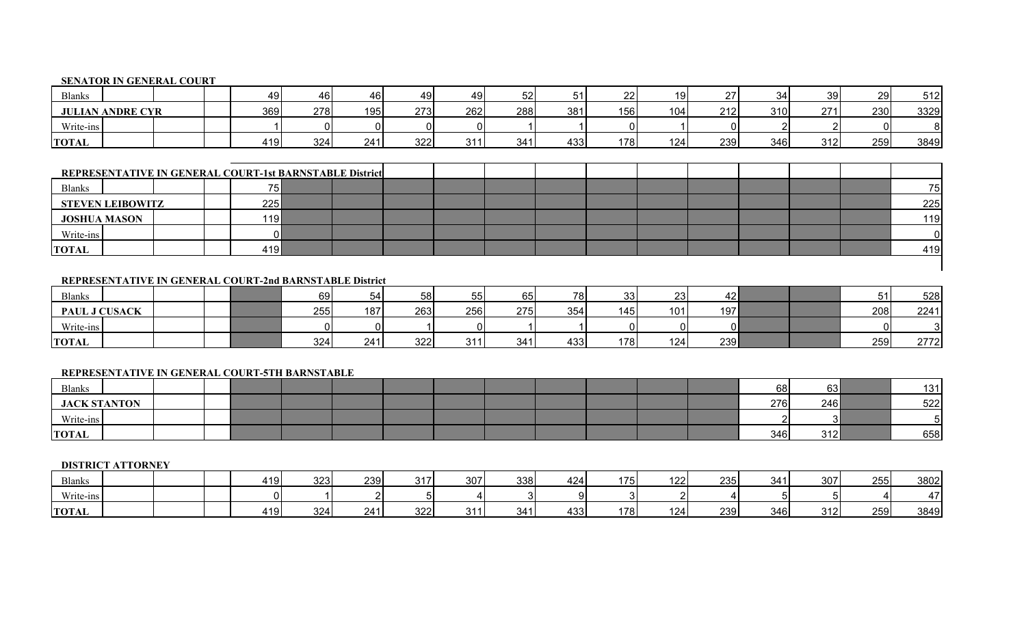## **SENATOR IN GENERAL COURT**

| <b>Blanks</b>           |  | 49  | 46  | 46  | 49  | 49  | 52  | 51  | 22  | 10 <sub>1</sub> | $\sim$ | 21  | 39     | 29  | 512  |
|-------------------------|--|-----|-----|-----|-----|-----|-----|-----|-----|-----------------|--------|-----|--------|-----|------|
| <b>JULIAN ANDRE CYR</b> |  | 369 | 278 | 195 | 273 | 262 | 288 | 381 | 156 | 104             | 212    | 310 | 271    | 230 | 3329 |
| Write-ins               |  |     |     |     |     |     |     |     |     |                 | ∩∣     |     | $\sim$ |     | 81   |
| <b>TOTAL</b>            |  | 419 | 324 | 241 | 322 | 311 | 341 | 433 | 178 | 124             | 239    | 346 | 312    | 259 | 3849 |

|                     | REPRESENTATIVE IN GENERAL COURT-1st BARNSTABLE District |  |                 |  |  |  |  |  |  |     |
|---------------------|---------------------------------------------------------|--|-----------------|--|--|--|--|--|--|-----|
| <b>Blanks</b>       |                                                         |  | 75 <sub>1</sub> |  |  |  |  |  |  | 751 |
|                     | <b>STEVEN LEIBOWITZ</b>                                 |  | 225             |  |  |  |  |  |  | 225 |
| <b>JOSHUA MASON</b> |                                                         |  | 119             |  |  |  |  |  |  | 119 |
| Write-ins           |                                                         |  |                 |  |  |  |  |  |  |     |
| <b>TOTAL</b>        |                                                         |  | 419 <b> </b>    |  |  |  |  |  |  | 419 |

## **REPRESENTATIVE IN GENERAL COURT-2nd BARNSTABLE District**

| <b>Blanks</b> |  |  | 69  |     | 58  | 55  | 65  | 78  | 33  | 23  | 42' |  | 51<br>ا ت | 528  |
|---------------|--|--|-----|-----|-----|-----|-----|-----|-----|-----|-----|--|-----------|------|
| PAUL J CUSACK |  |  | 255 | 187 | 263 | 256 | 275 | 354 | 145 | 101 | 197 |  | 208       | 2241 |
| Write-ins     |  |  |     |     |     |     |     |     | ΩI  |     |     |  |           |      |
| <b>TOTAL</b>  |  |  | 324 | 241 | 322 | 211 | 341 | 433 | 178 | 124 | 239 |  | 259       | 2772 |

## **REPRESENTATIVE IN GENERAL COURT-5TH BARNSTABLE**

| Blanks              |  |  |  |  |  |  | 68  | 63  | 131 |
|---------------------|--|--|--|--|--|--|-----|-----|-----|
| <b>JACK STANTON</b> |  |  |  |  |  |  | 276 | 246 | 522 |
| Write-ins           |  |  |  |  |  |  |     |     | ີ   |
| <b>TOTAL</b>        |  |  |  |  |  |  | 346 | 312 | 658 |

#### **DISTRICT ATTORNEY**

| <b>Blanks</b> |  | 410<br>- 10 | 323 | 239 | $\mathbf{A} \mathbf{A}$<br>◡ + + | 307 | 338 | 424  | 175 | 122 | 235 | 341 | 307        | 255 | 3802 |
|---------------|--|-------------|-----|-----|----------------------------------|-----|-----|------|-----|-----|-----|-----|------------|-----|------|
| Write-ins     |  |             |     |     |                                  |     |     | ומ   |     |     |     |     |            |     |      |
| <b>TOTAL</b>  |  | 41 O<br>ت ۱ | 324 | 24  | າາາ<br>∠∠د                       | 244 | 341 | 4331 | 178 | 124 | 239 | 346 | 240<br>◡ ≀ | 259 | 3849 |